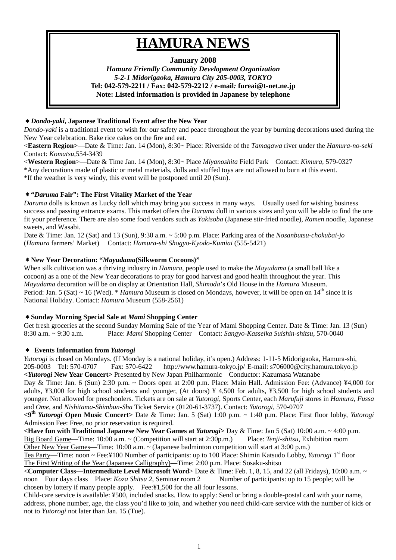# **HAMURA NEWS**

# **January 2008**

*Hamura Friendly Community Development Organization 5-2-1 Midorigaoka, Hamura City 205-0003, TOKYO*  **Tel: 042-579-2211 / Fax: 042-579-2212 / e-mail***:* **fureai@t-net.ne.jp Note: Listed information is provided in Japanese by telephone** 

## \**Dondo-yaki***, Japanese Traditional Event after the New Year**

*Dondo-yaki* is a traditional event to wish for our safety and peace throughout the year by burning decorations used during the New Year celebration. Bake rice cakes on the fire and eat.

<**Eastern Region>**—Date & Time: Jan. 14 (Mon), 8:30~ Place: Riverside of the *Tamagawa* river under the *Hamura-no-seki* Contact: *Komatsu,*554-3439

<**Western Region**>—Date & Time Jan. 14 (Mon), 8:30~ Place *Miyanoshita* Field Park Contact: *Kimura,* 579-0327 \*Any decorations made of plastic or metal materials, dolls and stuffed toys are not allowed to burn at this event. \*If the weather is very windy, this event will be postponed until 20 (Sun).

## \***"***Daruma* **Fair": The First Vitality Market of the Year**

*Daruma* dolls is known as Lucky doll which may bring you success in many ways. Usually used for wishing business success and passing entrance exams. This market offers the *Daruma* doll in various sizes and you will be able to find the one fit your preference. There are also some food vendors such as *Yakisoba* (Japanese stir-fried noodle), *Ramen* noodle, Japanese sweets, and Wasabi.

Date & Time: Jan. 12 (Sat) and 13 (Sun), 9:30 a.m. ~ 5:00 p.m. Place: Parking area of the *Nosanbutsu-chokubai-jo*  (*Hamura* farmers' Market) Contact: *Hamura-shi Shogyo-Kyodo-Kumiai* (555-5421)

## \***New Year Decoration: "***Mayudama***(Silkworm Cocoons)"**

When silk cultivation was a thriving industry in *Hamura*, people used to make the *Mayudama* (a small ball like a cocoon) as a one of the New Year decorations to pray for good harvest and good health throughout the year. This *Mayudama* decoration will be on display at Orientation Hall, *Shimoda*'s Old House in the *Hamura* Museum. Period: Jan. 5 (Sat)  $\sim$  16 (Wed). \* *Hamura* Museum is closed on Mondays, however, it will be open on 14<sup>th</sup> since it is National Holiday. Contact: *Hamura* Museum (558-2561)

## \***Sunday Morning Special Sale at** *Mami* **Shopping Center**

Get fresh groceries at the second Sunday Morning Sale of the Year of Mami Shopping Center. Date & Time: Jan. 13 (Sun) 8:30 a.m. ~ 9:30 a.m. Place: *Mami* Shopping Center Contact: *Sangyo-Kasseika Suishin-shitsu*, 570-0040

## \* **Events Information from** *Yutorogi*

*Yutorogi* is closed on Mondays. (If Monday is a national holiday, it's open.) Address: 1-11-5 Midorigaoka, Hamura-shi, 205-0003 Tel: 570-0707 Fax: 570-6422 http://www.hamura-tokyo.jp/ E-mail: s706000@city.hamura.tokyo.jp **<***Yutorogi* **New Year Concert>** Presented by New Japan Philharmonic Conductor: Kazumasa Watanabe Day & Time: Jan. 6 (Sun) 2:30 p.m. ~ Doors open at 2:00 p.m. Place: Main Hall. Admission Fee: (Advance) ¥4,000 for adults, ¥3,000 for high school students and younger, (At doors) ¥ 4,500 for adults, ¥3,500 for high school students and

younger. Not allowed for preschoolers. Tickets are on sale at *Yutorogi*, Sports Center, each *Marufuji* stores in *Hamura, Fussa* and *Ome*, and *Nishitama-Shimbun-Sha* Ticket Service (0120-61-3737). Contact: *Yutorogi*, 570-0707

**<9th** *Yutorogi* **Open Music Concert>** Date & Time: Jan. 5 (Sat) 1:00 p.m. ~ 1:40 p.m. Place: First floor lobby, *Yutorogi*  Admission Fee: Free, no prior reservation is required.

**<Have fun with Traditional Japanese New Year Games at** *Yutorogi***>** Day & Time: Jan 5 (Sat) 10:00 a.m. ~ 4:00 p.m. Big Board Game—Time: 10:00 a.m. ~ (Competition will start at 2:30p.m.) Place: *Tenji-shitsu,* Exhibition room Other New Year Games—Time: 10:00 a.m. ~ (Japanese badminton competition will start at 3:00 p.m.)

Tea Party—Time: noon ~ Fee:¥100 Number of participants: up to 100 Place: Shimin Katsudo Lobby, *Yutorogi* 1<sup>st</sup> floor The First Writing of the Year (Japanese Calligraphy)—Time: 2:00 p.m. Place: Sosaku-shitsu

<**Computer Class—Intermediate Level Microsoft Word**> Date & Time: Feb. 1, 8, 15, and 22 (all Fridays), 10:00 a.m. ~ noon Four days class Place: *Koza Shitsu 2*, Seminar room 2 Number of participants: up to 15 people; will be chosen by lottery if many people apply. Fee:¥1,500 for the all four lessons.

Child-care service is available: ¥500, included snacks. How to apply: Send or bring a double-postal card with your name, address, phone number, age, the class you'd like to join, and whether you need child-care service with the number of kids or not to *Yutorogi* not later than Jan. 15 (Tue).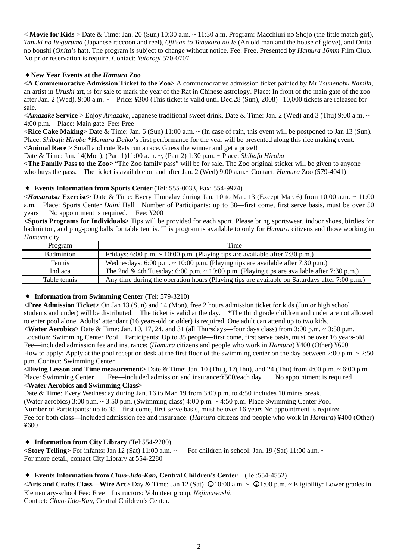$\langle$  **Movie for Kids** > Date & Time: Jan. 20 (Sun) 10:30 a.m.  $\sim$  11:30 a.m. Program: Macchiuri no Shojo (the little match girl), *Tanuki no Itoguruma* (Japanese raccoon and reel), *Ojiisan to Tebukuro no Ie* (An old man and the house of glove), and Onita no boushi (*Onita*'s hat). The program is subject to change without notice. Fee: Free. Presented by *Hamura 16mm* Film Club. No prior reservation is require. Contact: *Yutorogi* 570-0707

## \***New Year Events at the** *Hamura* **Zoo**

**<A Commemorative Admission Ticket to the Zoo>** A commemorative admission ticket painted by Mr.*Tsunenobu Namiki*, an artist in *Urushi* art, is for sale to mark the year of the Rat in Chinese astrology. Place: In front of the main gate of the zoo after Jan. 2 (Wed), 9:00 a.m. ~ Price: ¥300 (This ticket is valid until Dec.28 (Sun), 2008) –10,000 tickets are released for sale.

<*Amazake* **Service** > Enjoy *Amazake*, Japanese traditional sweet drink. Date & Time: Jan. 2 (Wed) and 3 (Thu) 9:00 a.m. ~ 4:00 p.m. Place: Main gate Fee: Free

<**Rice Cake Making**> Date & Time: Jan. 6 (Sun) 11:00 a.m. ~ (In case of rain, this event will be postponed to Jan 13 (Sun). Place: *Shibafu Hiroba* \**Hamura Daiko*'s first performance for the year will be presented along this rice making event. <**Animal Race** > Small and cute Rats run a race. Guess the winner and get a prize!!

Date & Time: Jan. 14(Mon), (Part 1)11:00 a.m. ~, (Part 2) 1:30 p.m. ~ Place: *Shibafu Hiroba* 

**<The Family Pass to the Zoo>** "The Zoo family pass" will be for sale. The Zoo original sticker will be given to anyone who buys the pass. The ticket is available on and after Jan. 2 (Wed) 9:00 a.m.~ Contact: *Hamura* Zoo (579-4041)

## \* **Events Information from Sports Center** (Tel: 555-0033, Fax: 554-9974)

<*Hatsuratsu* **Exercise>** Date & Time: Every Thursday during Jan. 10 to Mar. 13 (Except Mar. 6) from 10:00 a.m. ~ 11:00 a.m. Place: Sports Center *Daini* Hall Number of Participants: up to 30—first come, first serve basis, must be over 50 years No appointment is required. Fee: ¥200

**<Sports Programs for Individuals>** Tips will be provided for each sport. Please bring sportswear, indoor shoes, birdies for badminton, and ping-pong balls for table tennis. This program is available to only for *Hamura* citizens and those working in *Hamura* city

| Program          | Time                                                                                            |
|------------------|-------------------------------------------------------------------------------------------------|
| <b>Badminton</b> | Fridays: 6:00 p.m. $\sim$ 10:00 p.m. (Playing tips are available after 7:30 p.m.)               |
| <b>Tennis</b>    | Wednesdays: $6:00$ p.m. $\sim 10:00$ p.m. (Playing tips are available after 7:30 p.m.)          |
| Indiaca          | The 2nd & 4th Tuesday: 6:00 p.m. $\sim$ 10:00 p.m. (Playing tips are available after 7:30 p.m.) |
| Table tennis     | Any time during the operation hours (Playing tips are available on Saturdays after 7:00 p.m.)   |

\* **Information from Swimming Center** (Tel: 579-3210)

<**Free Admission Ticket>** On Jan 13 (Sun) and 14 (Mon), free 2 hours admission ticket for kids (Junior high school students and under) will be distributed. The ticket is valid at the day. \*The third grade children and under are not allowed to enter pool alone. Adults' attendant (16 years-old or older) is required. One adult can attend up to two kids. <**Water Aerobics**> Date & Time: Jan. 10, 17, 24, and 31 (all Thursdays—four days class) from 3:00 p.m. ~ 3:50 p.m. Location: Swimming Center Pool Participants: Up to 35 people—first come, first serve basis, must be over 16 years-old Fee—included admission fee and insurance: (*Hamura* citizens and people who work in *Hamura*) ¥400 (Other) ¥600 How to apply: Apply at the pool reception desk at the first floor of the swimming center on the day between 2:00 p.m.  $\sim 2:50$ p.m. Contact: Swimming Center

**<Diving Lesson and Time measurement>** Date & Time: Jan. 10 (Thu), 17(Thu), and 24 (Thu) from 4:00 p.m. ~ 6:00 p.m. Place: Swimming Center Fee—included admission and insurance:¥500/each day No appointment is required <**Water Aerobics and Swimming Class>** 

Date & Time: Every Wednesday during Jan. 16 to Mar. 19 from 3:00 p.m. to 4:50 includes 10 mints break. (Water aerobics) 3:00 p.m. ~ 3:50 p.m. (Swimming class) 4:00 p.m. ~ 4:50 p.m. Place Swimming Center Pool Number of Participants: up to 35—first come, first serve basis, must be over 16 years No appointment is required. Fee for both class—included admission fee and insurance: (*Hamura* citizens and people who work in *Hamura*) ¥400 (Other) ¥600

\* **Information from City Library** (Tel:554-2280) **<Story Telling>** For infants: Jan 12 (Sat) 11:00 a.m. ~ For children in school: Jan. 19 (Sat) 11:00 a.m. ~ For more detail, contact City Library at 554-2280

## \* **Events Information from** *Chuo-Jido-Kan,* **Central Children's Center** (Tel:554-4552)

<**Arts and Crafts Class—Wire Art**> Day & Time: Jan 12 (Sat)  $\bigcirc$  10:00 a.m. ~  $\bigcirc$  1:00 p.m. ~ Eligibility: Lower grades in Elementary-school Fee: Free Instructors: Volunteer group, *Nejimawashi*. Contact: *Chuo-Jido-Kan,* Central Children's Center.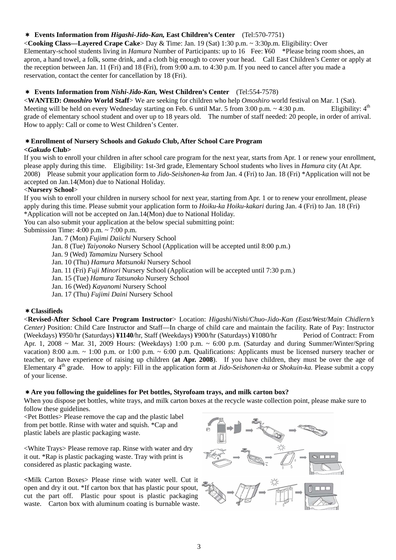## \* **Events Information from** *Higashi-Jido-Kan,* **East Children's Center** (Tel:570-7751)

<**Cooking Class—Layered Crape Cake**> Day & Time: Jan. 19 (Sat) 1:30 p.m. ~ 3:30p.m. Eligibility: Over Elementary-school students living in *Hamura* Number of Participants: up to 16 Fee: ¥60 \*Please bring room shoes, an apron, a hand towel, a folk, some drink, and a cloth big enough to cover your head. Call East Children's Center or apply at the reception between Jan. 11 (Fri) and 18 (Fri), from 9:00 a.m. to 4:30 p.m. If you need to cancel after you made a reservation, contact the center for cancellation by 18 (Fri).

## \* **Events Information from** *Nishi-Jido-Kan,* **West Children's Center** (Tel:554-7578)

<**WANTED:** *Omoshiro* **World Staff**> We are seeking for children who help *Omoshiro* world festival on Mar. 1 (Sat). Meeting will be held on every Wednesday starting on Feb. 6 until Mar. 5 from 3:00 p.m.  $\sim$  4:30 p.m. grade of elementary school student and over up to 18 years old. The number of staff needed: 20 people, in order of arrival. How to apply: Call or come to West Children's Center.

## \***Enrollment of Nursery Schools and** *Gakudo* **Club, After School Care Program**

## **<***Gakudo* **Club>**

If you wish to enroll your children in after school care program for the next year, starts from Apr. 1 or renew your enrollment, please apply during this time. Eligibility: 1st-3rd grade, Elementary School students who lives in *Hamura* city (At Apr. 2008) Please submit your application form to *Jido-Seishonen-ka* from Jan. 4 (Fri) to Jan. 18 (Fri) \*Application will not be accepted on Jan.14(Mon) due to National Holiday.

## <**Nursery School**>

If you wish to enroll your children in nursery school for next year, starting from Apr. 1 or to renew your enrollment, please apply during this time. Please submit your application form to *Hoiku-ka Hoiku-kakari* during Jan. 4 (Fri) to Jan. 18 (Fri) \*Application will not be accepted on Jan.14(Mon) due to National Holiday.

You can also submit your application at the below special submitting point:

Submission Time: 4:00 p.m. ~ 7:00 p.m.

Jan. 7 (Mon) *Fujimi Daiichi* Nursery School

- Jan. 8 (Tue) *Taiyonoko* Nursery School (Application will be accepted until 8:00 p.m.)
- Jan. 9 (Wed) *Tamamizu* Nursery School

Jan. 10 (Thu) *Hamura Matsunoki* Nursery School

Jan. 11 (Fri) *Fuji Minori* Nursery School (Application will be accepted until 7:30 p.m.)

Jan. 15 (Tue) *Hamura Tatsunoko* Nursery School

Jan. 16 (Wed) *Kayanomi* Nursery School

Jan. 17 (Thu) *Fujimi Daini* Nursery School

## \***Classifieds**

<**Revised-After School Care Program Instructor**> Location: *Higashi/Nishi/Chuo-Jido-Kan (East/West/Main Chidlern's Center)* Position: Child Care Instructor and Staff—In charge of child care and maintain the facility. Rate of Pay: Instructor (Weekdays) ¥950/hr (Saturdays) **¥1140**/hr, Staff (Weekdays) ¥900/hr (Saturdays) ¥1080/hr Period of Contract: From Apr. 1, 2008 ~ Mar. 31, 2009 Hours: (Weekdays) 1:00 p.m. ~ 6:00 p.m. (Saturday and during Summer/Winter/Spring vacation) 8:00 a.m. ~ 1:00 p.m. or 1:00 p.m. ~ 6:00 p.m. Qualifications: Applicants must be licensed nursery teacher or teacher, or have experience of raising up children (**at Apr. 2008**). If you have children, they must be over the age of Elementary 4th grade. How to apply: Fill in the application form at *Jido-Seishonen-ka* or *Shokuin-ka.* Please submit a copy of your license.

## \***Are you following the guidelines for Pet bottles, Styrofoam trays, and milk carton box?**

When you dispose pet bottles, white trays, and milk carton boxes at the recycle waste collection point, please make sure to follow these guidelines.

<Pet Bottles> Please remove the cap and the plastic label from pet bottle. Rinse with water and squish. \*Cap and plastic labels are plastic packaging waste.

<White Trays> Please remove rap. Rinse with water and dry it out. \*Rap is plastic packaging waste. Tray with print is considered as plastic packaging waste.

**<**Milk Carton Boxes> Please rinse with water well. Cut it open and dry it out. \*If carton box that has plastic pour spout, cut the part off. Plastic pour spout is plastic packaging waste. Carton box with aluminum coating is burnable waste.